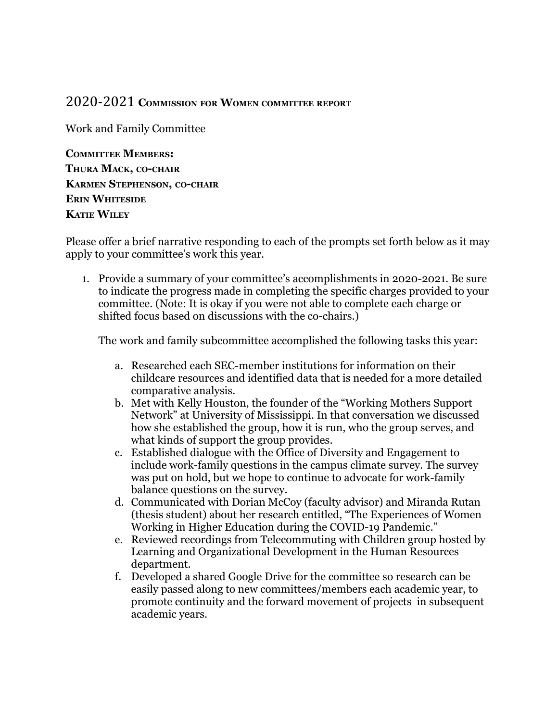## 2020-2021 **COMMISSION FOR WOMEN COMMITTEE REPORT**

Work and Family Committee

**COMMITTEE MEMBERS: THURA MACK, CO-CHAIR KARMEN STEPHENSON, CO-CHAIR ERIN WHITESIDE KATIE WILEY**

Please offer a brief narrative responding to each of the prompts set forth below as it may apply to your committee's work this year.

1. Provide a summary of your committee's accomplishments in 2020-2021. Be sure to indicate the progress made in completing the specific charges provided to your committee. (Note: It is okay if you were not able to complete each charge or shifted focus based on discussions with the co-chairs.)

The work and family subcommittee accomplished the following tasks this year:

- a. Researched each SEC-member institutions for information on their childcare resources and identified data that is needed for a more detailed comparative analysis.
- b. Met with Kelly Houston, the founder of the "Working Mothers Support Network" at University of Mississippi. In that conversation we discussed how she established the group, how it is run, who the group serves, and what kinds of support the group provides.
- c. Established dialogue with the Office of Diversity and Engagement to include work-family questions in the campus climate survey. The survey was put on hold, but we hope to continue to advocate for work-family balance questions on the survey.
- d. Communicated with Dorian McCoy (faculty advisor) and Miranda Rutan (thesis student) about her research entitled, "The Experiences of Women Working in Higher Education during the COVID-19 Pandemic."
- e. Reviewed recordings from Telecommuting with Children group hosted by Learning and Organizational Development in the Human Resources department.
- f. Developed a shared Google Drive for the committee so research can be easily passed along to new committees/members each academic year, to promote continuity and the forward movement of projects in subsequent academic years.